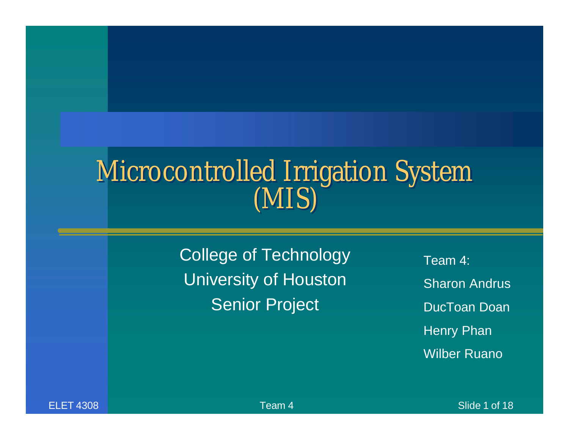### Microcontrolled Irrigation System (MIS)

College of Technology University of Houston **Senior Project** 

Team 4: Sharon Andrus DucToan Doan Henry Phan Wilber Ruano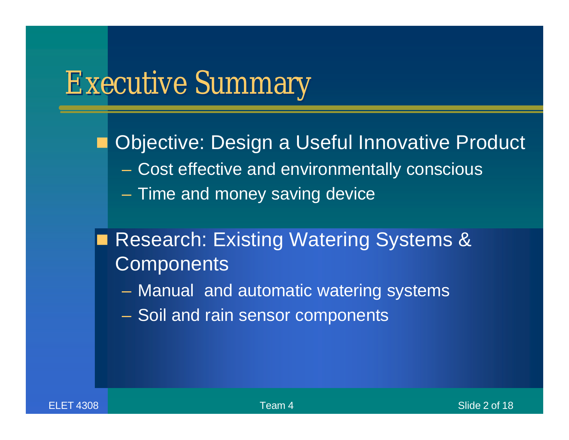### Executive Summary

**Objective: Design a Useful Innovative Product** – Cost effective and environmentally conscious – Time and money saving device

- Research: Existing Watering Systems & **Components** 
	- Manual and automatic watering systems
	- Soil and rain sensor components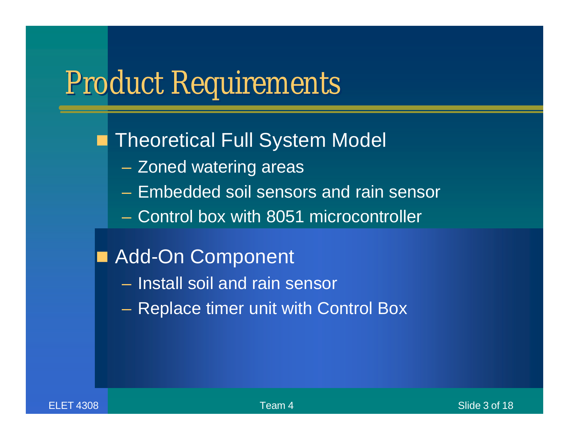## Product Requirements

### **Theoretical Full System Model**

- Zoned watering areas
- Embedded soil sensors and rain sensor
- Control box with 8051 microcontroller
- Add-On Component
	- Install soil and rain sensor
	- Replace timer unit with Control Box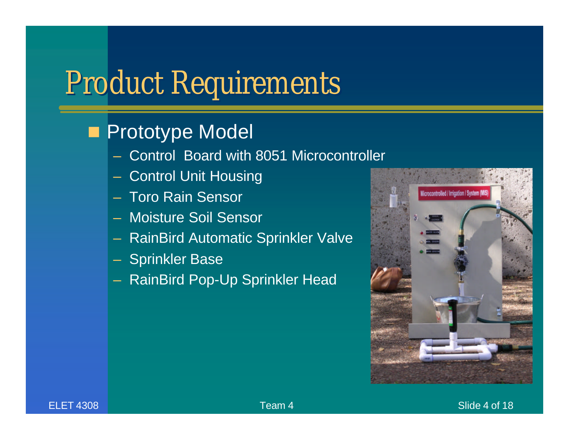## Product Requirements

### **Prototype Model**

- Control Board with 8051 Microcontroller
- Control Unit Housing
- Toro Rain Sensor
- Moisture Soil Sensor
- RainBird Automatic Sprinkler Valve
- **Sprinkler Base**
- RainBird Pop-Up Sprinkler Head

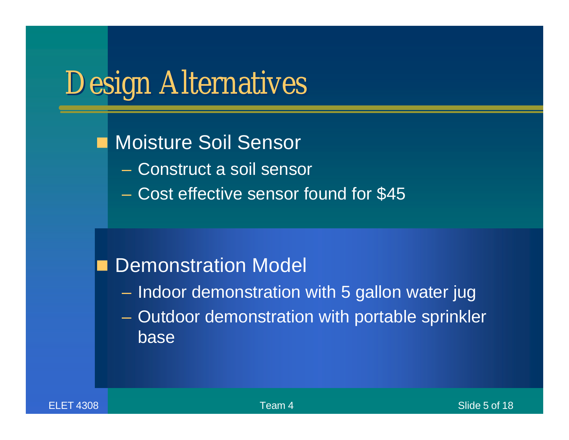## Design Alternatives

Moisture Soil Sensor

- Construct a soil sensor
- Cost effective sensor found for \$45

### **Demonstration Model**

- Indoor demonstration with 5 gallon water jug
- Outdoor demonstration with portable sprinkler base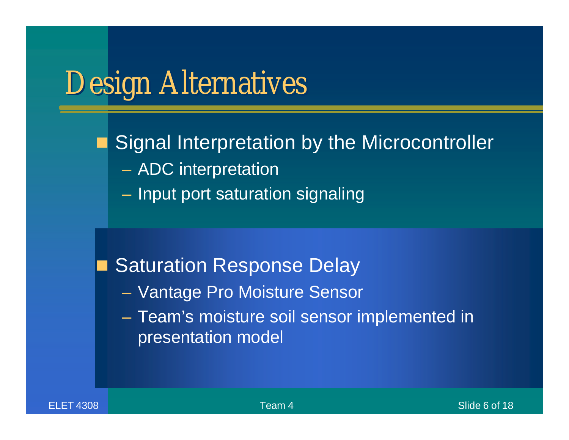## Design Alternatives

Signal Interpretation by the Microcontroller

- ADC interpretation
- Input port saturation signaling

**Saturation Response Delay** 

– Vantage Pro Moisture Sensor

– Team's moisture soil sensor implemented in presentation model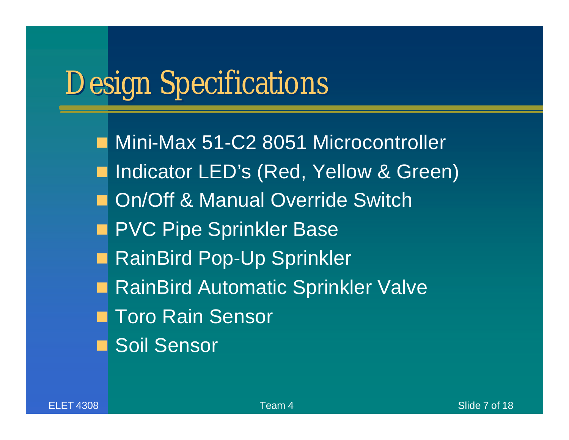## Design Specifications

Mini-Max 51-C2 8051 Microcontroller ■ Indicator LED's (Red, Yellow & Green) **n** On/Off & Manual Override Switch **n PVC Pipe Sprinkler Base** RainBird Pop-Up Sprinkler RainBird Automatic Sprinkler Valve **Toro Rain Sensor n** Soil Sensor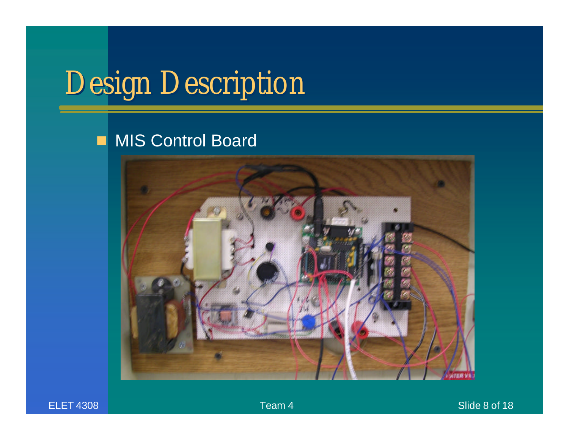# Design Description

### **n** MIS Control Board

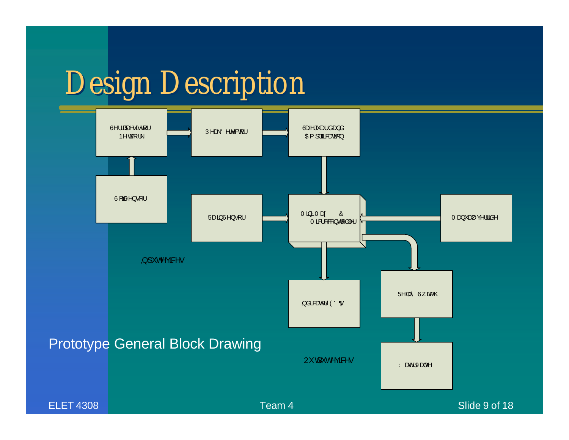## Design Description

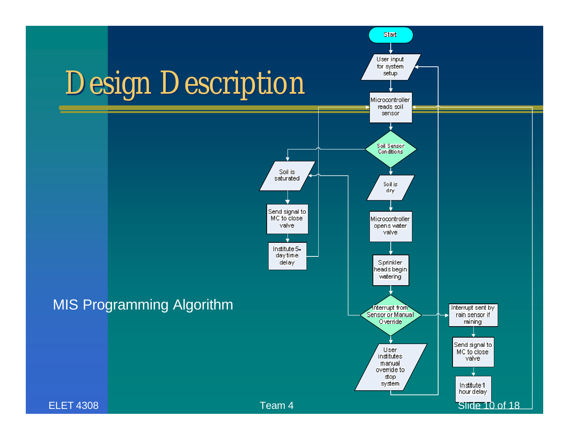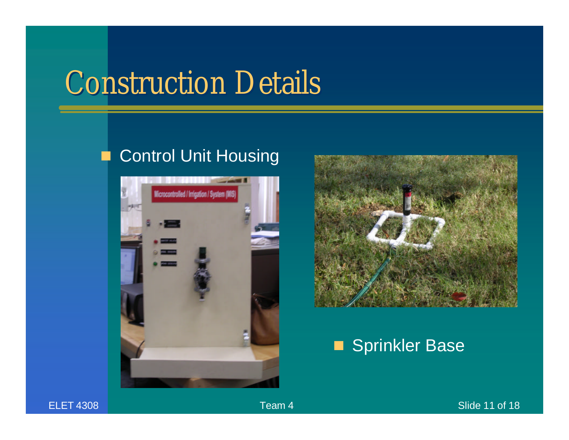## Construction Details

### **n** Control Unit Housing





### Sprinkler Base

### ELET 4308 **Slide 11 of 18** Slide 11 of 18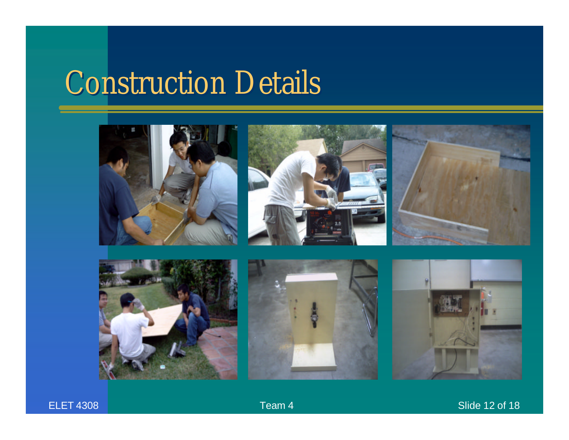## Construction Details



ELET 4308 **Team 4** Slide 12 of 18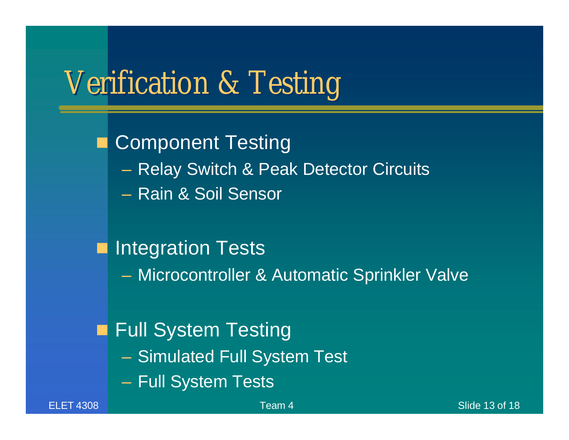## Verification & Testing

**Component Testing** – Relay Switch & Peak Detector Circuits – Rain & Soil Sensor

### **n** Integration Tests

– Microcontroller & Automatic Sprinkler Valve

### Full System Testing

- Simulated Full System Test
- Full System Tests

ELET 4308 and the state of the state of the Slide 13 of 18 and 18 set of the Slide 13 of 18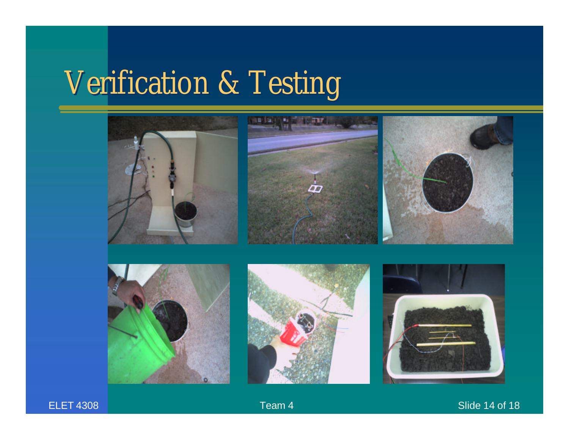# Verification & Testing





### ELET 4308 **Team 4** Slide 14 of 18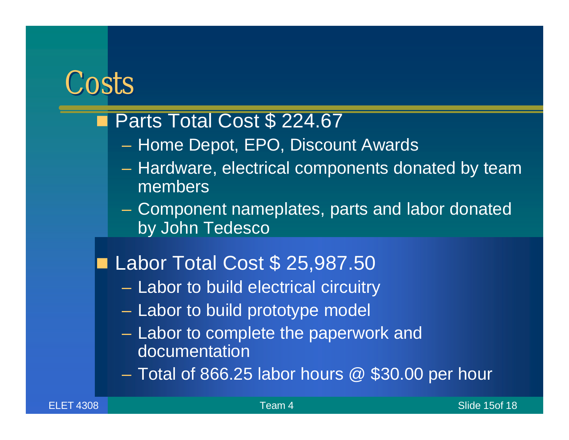### **Costs**

### Parts Total Cost \$ 224.67

- Home Depot, EPO, Discount Awards
- Hardware, electrical components donated by team members
- Component nameplates, parts and labor donated by John Tedesco
- Labor Total Cost \$ 25,987.50
	- Labor to build electrical circuitry
	- Labor to build prototype model
	- Labor to complete the paperwork and documentation
	- $-$  Total of 866.25 labor hours  $\omega$  \$30.00 per hour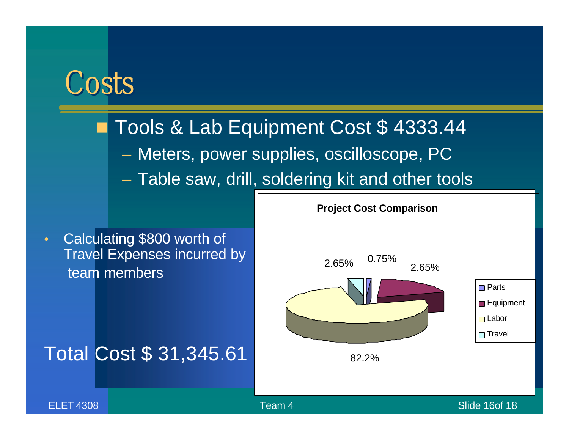### Costs

### Tools & Lab Equipment Cost \$4333.44

- Meters, power supplies, oscilloscope, PC
- Table saw, drill, soldering kit and other tools

• Calculating \$800 worth of Travel Expenses incurred by team members

Total Cost \$ 31,345.61

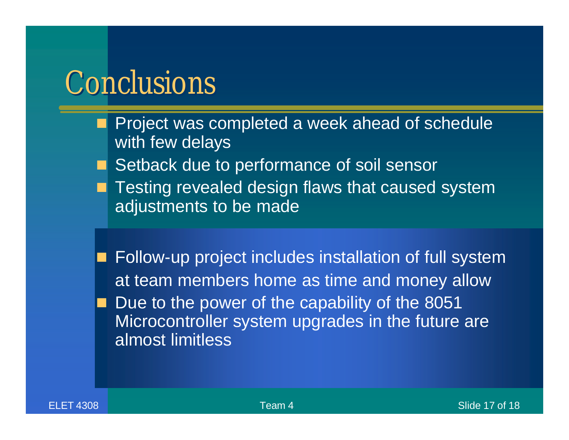### **Conclusions**

- Project was completed a week ahead of schedule with few delays
- **n Setback due to performance of soil sensor**
- Testing revealed design flaws that caused system adjustments to be made
- Follow-up project includes installation of full system at team members home as time and money allow Due to the power of the capability of the 8051 Microcontroller system upgrades in the future are almost limitless